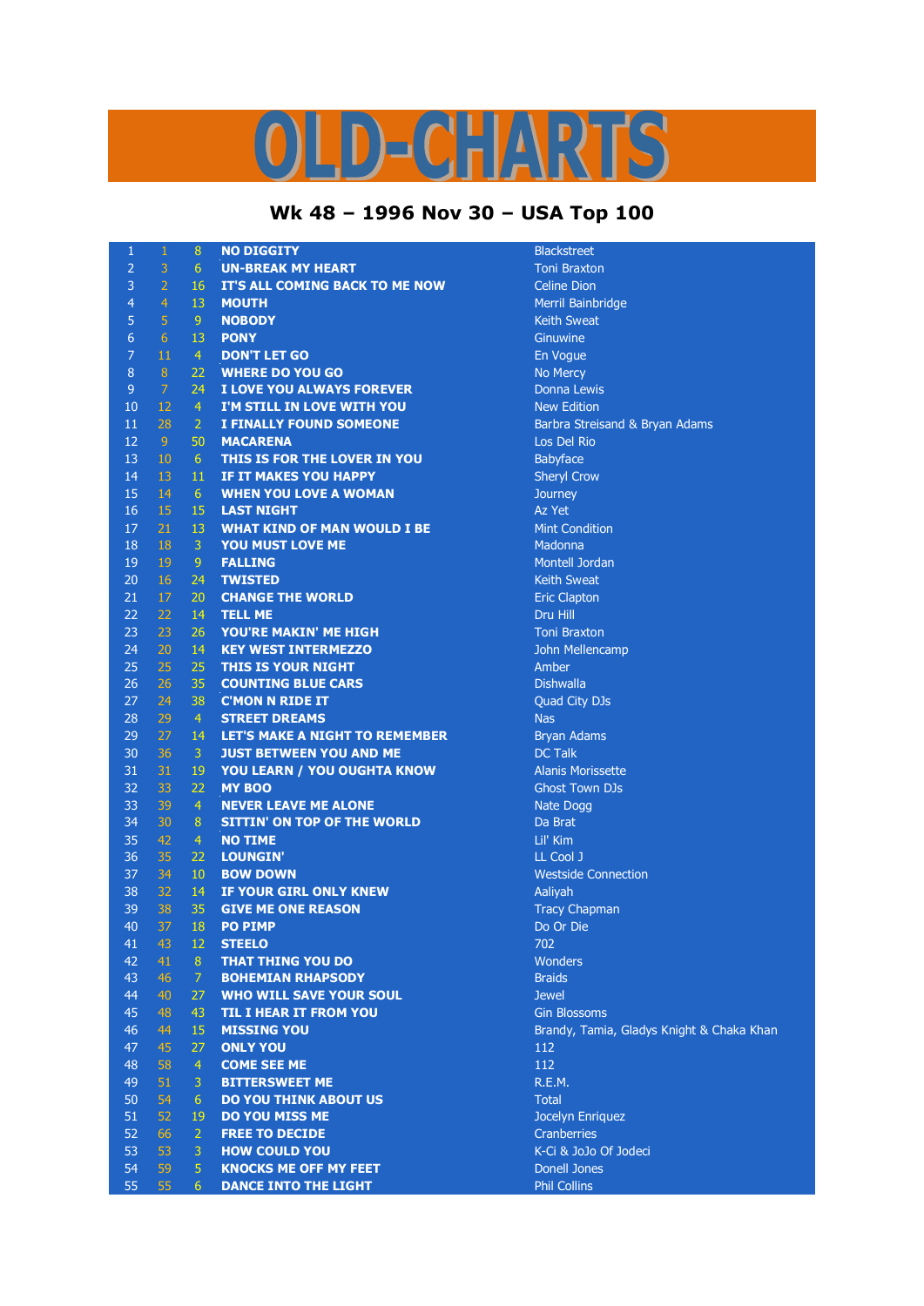## ID-CHARTS

## **Wk 48 – 1996 Nov 30 – USA Top 100**

| 1                | $\mathbf{1}$     | 8              | <b>NO DIGGITY</b>                     | <b>Blackstreet</b>                        |
|------------------|------------------|----------------|---------------------------------------|-------------------------------------------|
| $\overline{2}$   | 3                | 6              | <b>UN-BREAK MY HEART</b>              | <b>Toni Braxton</b>                       |
| 3                | $\overline{2}$   | 16             | IT'S ALL COMING BACK TO ME NOW        | <b>Celine Dion</b>                        |
| $\overline{4}$   | $\overline{4}$   | 13             | <b>MOUTH</b>                          | Merril Bainbridge                         |
| 5                | 5                | 9              | <b>NOBODY</b>                         | <b>Keith Sweat</b>                        |
| $\overline{6}$   | $6 \overline{6}$ | 13             | <b>PONY</b>                           | Ginuwine                                  |
| $\overline{7}$   | 11               | $\overline{4}$ | <b>DON'T LET GO</b>                   | En Vogue                                  |
| $\boldsymbol{8}$ | $\, 8$           | 22             | <b>WHERE DO YOU GO</b>                | No Mercy                                  |
| 9                | 7                | 24             | I LOVE YOU ALWAYS FOREVER             | <b>Donna Lewis</b>                        |
| 10               | 12               | $\overline{4}$ | I'M STILL IN LOVE WITH YOU            | <b>New Edition</b>                        |
| 11               | 28               | $\overline{2}$ | <b>I FINALLY FOUND SOMEONE</b>        | Barbra Streisand & Bryan Adams            |
| 12               | 9                | 50             | <b>MACARENA</b>                       | Los Del Rio                               |
| 13               | 10               | 6              | THIS IS FOR THE LOVER IN YOU          | Babyface                                  |
| 14               | 13               | 11             | IF IT MAKES YOU HAPPY                 | <b>Sheryl Crow</b>                        |
| 15               | 14               | 6              | <b>WHEN YOU LOVE A WOMAN</b>          | Journey                                   |
| 16               | 15               | 15             | <b>LAST NIGHT</b>                     | Az Yet                                    |
| 17               | 21               | 13             | <b>WHAT KIND OF MAN WOULD I BE</b>    | <b>Mint Condition</b>                     |
| 18               | 18               | 3              | <b>YOU MUST LOVE ME</b>               | Madonna                                   |
| 19               | 19               | 9              | <b>FALLING</b>                        | <b>Montell Jordan</b>                     |
| 20               | 16               | 24             | <b>TWISTED</b>                        | <b>Keith Sweat</b>                        |
| 21               | 17               | 20             | <b>CHANGE THE WORLD</b>               | <b>Eric Clapton</b>                       |
| 22               | 22               | 14             | <b>TELL ME</b>                        | Dru Hill                                  |
| 23               | 23               | 26             | YOU'RE MAKIN' ME HIGH                 | <b>Toni Braxton</b>                       |
| 24               | 20               | 14             | <b>KEY WEST INTERMEZZO</b>            | John Mellencamp                           |
| 25               | 25               | 25             | THIS IS YOUR NIGHT                    | Amber                                     |
| 26               | 26               | 35             | <b>COUNTING BLUE CARS</b>             | <b>Dishwalla</b>                          |
| 27               | 24               | 38             | <b>C'MON N RIDE IT</b>                | Quad City DJs                             |
| 28               | 29               | $\overline{4}$ | <b>STREET DREAMS</b>                  | <b>Nas</b>                                |
| 29               | 27               | 14             | <b>LET'S MAKE A NIGHT TO REMEMBER</b> | <b>Bryan Adams</b>                        |
| 30               | 36               | 3              | <b>JUST BETWEEN YOU AND ME</b>        | <b>DC Talk</b>                            |
| 31               | 31               | 19             | <b>YOU LEARN / YOU OUGHTA KNOW</b>    | <b>Alanis Morissette</b>                  |
| 32               | 33               | 22             | <b>MY BOO</b>                         | <b>Ghost Town DJs</b>                     |
| 33               | 39               | $\overline{4}$ | <b>NEVER LEAVE ME ALONE</b>           | Nate Dogg                                 |
| 34               | 30               | 8              | <b>SITTIN' ON TOP OF THE WORLD</b>    | Da Brat                                   |
| 35               | 42               | $\overline{4}$ | <b>NO TIME</b>                        | Lil' Kim                                  |
| 36               | 35               | 22             | <b>LOUNGIN'</b>                       | LL Cool J                                 |
| 37               | 34               | 10             | <b>BOW DOWN</b>                       | <b>Westside Connection</b>                |
| 38               | 32               | 14             | IF YOUR GIRL ONLY KNEW                | Aaliyah                                   |
| 39               | 38               | 35             | <b>GIVE ME ONE REASON</b>             | <b>Tracy Chapman</b>                      |
| 40               | 37               | <b>18</b>      | <b>PO PIMP</b>                        | Do Or Die                                 |
| 41               | 43               | 12             | <b>STEELO</b>                         | 702                                       |
| 42               | 41               | 8              | <b>THAT THING YOU DO</b>              | Wonders                                   |
| 43               | 46               | $\overline{7}$ | <b>BOHEMIAN RHAPSODY</b>              | <b>Braids</b>                             |
| 44               | 40               | 27             | <b>WHO WILL SAVE YOUR SOUL</b>        | <b>Jewel</b>                              |
| 45               | 48               | 43             | <b>TIL I HEAR IT FROM YOU</b>         | <b>Gin Blossoms</b>                       |
| 46               | 44               | 15             | <b>MISSING YOU</b>                    | Brandy, Tamia, Gladys Knight & Chaka Khan |
| 47               | 45               | 27             | <b>ONLY YOU</b>                       | 112                                       |
| 48               | 58               | $\overline{4}$ | <b>COME SEE ME</b>                    | 112                                       |
| 49               | 51               | 3              | <b>BITTERSWEET ME</b>                 | R.E.M.                                    |
| 50               | 54               | 6              | <b>DO YOU THINK ABOUT US</b>          | <b>Total</b>                              |
| 51               | 52               | 19             | <b>DO YOU MISS ME</b>                 | Jocelyn Enriquez                          |
| 52               | 66               | $\overline{2}$ | <b>FREE TO DECIDE</b>                 | Cranberries                               |
| 53               | 53               | 3              | <b>HOW COULD YOU</b>                  | K-Ci & JoJo Of Jodeci                     |
| 54               | 59               | $\overline{5}$ | <b>KNOCKS ME OFF MY FEET</b>          | <b>Donell Jones</b>                       |
| 55               | 55               | 6              | <b>DANCE INTO THE LIGHT</b>           | <b>Phil Collins</b>                       |